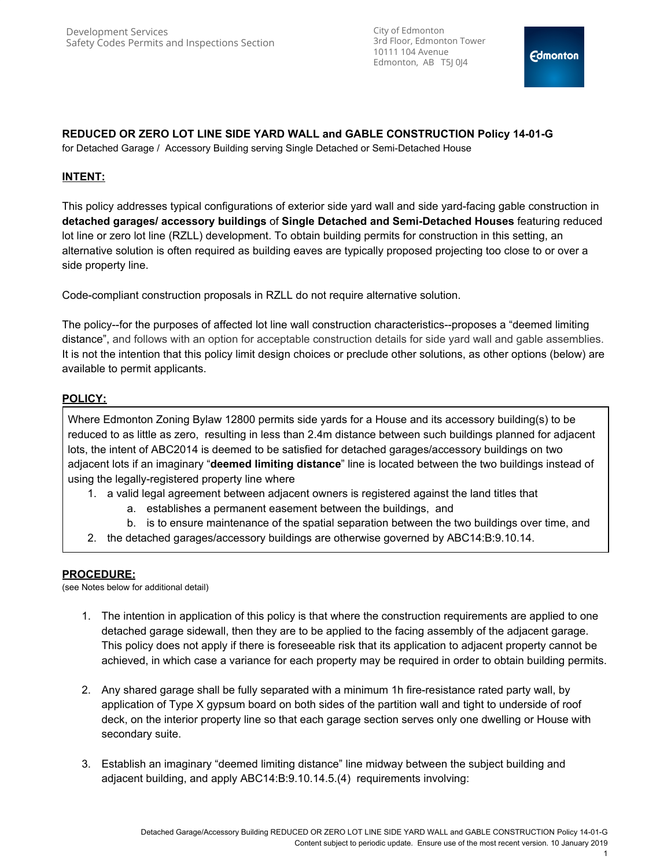City of Edmonton 3rd Floor, Edmonton Tower 10111 104 Avenue Edmonton, AB T5J 0J4

## **REDUCED OR ZERO LOT LINE SIDE YARD WALL and GABLE CONSTRUCTION Policy 14-01-G**

for Detached Garage / Accessory Building serving Single Detached or Semi-Detached House

# **INTENT:**

This policy addresses typical configurations of exterior side yard wall and side yard-facing gable construction in **detached garages/ accessory buildings** of **Single Detached and Semi-Detached Houses** featuring reduced lot line or zero lot line (RZLL) development. To obtain building permits for construction in this setting, an alternative solution is often required as building eaves are typically proposed projecting too close to or over a side property line.

Code-compliant construction proposals in RZLL do not require alternative solution.

The policy--for the purposes of affected lot line wall construction characteristics--proposes a "deemed limiting distance", and follows with an option for acceptable construction details for side yard wall and gable assemblies. It is not the intention that this policy limit design choices or preclude other solutions, as other options (below) are available to permit applicants.

# **POLICY:**

Where Edmonton Zoning Bylaw 12800 permits side yards for a House and its accessory building(s) to be reduced to as little as zero, resulting in less than 2.4m distance between such buildings planned for adjacent lots, the intent of ABC2014 is deemed to be satisfied for detached garages/accessory buildings on two adjacent lots if an imaginary "**deemed limiting distance**" line is located between the two buildings instead of using the legally-registered property line where

- 1. a valid legal agreement between adjacent owners is registered against the land titles that
	- a. establishes a permanent easement between the buildings, and
	- b. is to ensure maintenance of the spatial separation between the two buildings over time, and
- 2. the detached garages/accessory buildings are otherwise governed by ABC14:B:9.10.14.

## **PROCEDURE:**

(see Notes below for additional detail)

- 1. The intention in application of this policy is that where the construction requirements are applied to one detached garage sidewall, then they are to be applied to the facing assembly of the adjacent garage. This policy does not apply if there is foreseeable risk that its application to adjacent property cannot be achieved, in which case a variance for each property may be required in order to obtain building permits.
- 2. Any shared garage shall be fully separated with a minimum 1h fire-resistance rated party wall, by application of Type X gypsum board on both sides of the partition wall and tight to underside of roof deck, on the interior property line so that each garage section serves only one dwelling or House with secondary suite.
- 3. Establish an imaginary "deemed limiting distance" line midway between the subject building and adjacent building, and apply ABC14:B:9.10.14.5.(4) requirements involving: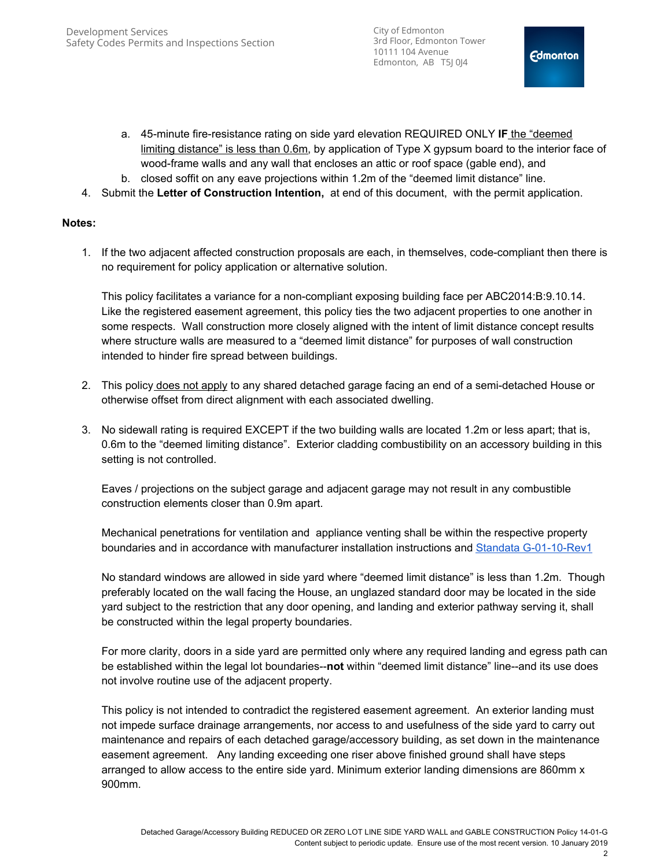City of Edmonton 3rd Floor, Edmonton Tower 10111 104 Avenue Edmonton, AB T5J 0J4

- a. 45-minute fire-resistance rating on side yard elevation REQUIRED ONLY **IF** the "deemed limiting distance" is less than 0.6m, by application of Type X gypsum board to the interior face of wood-frame walls and any wall that encloses an attic or roof space (gable end), and
- b. closed soffit on any eave projections within 1.2m of the "deemed limit distance" line.
- 4. Submit the **Letter of Construction Intention,** at end of this document, with the permit application.

## **Notes:**

1. If the two adjacent affected construction proposals are each, in themselves, code-compliant then there is no requirement for policy application or alternative solution.

This policy facilitates a variance for a non-compliant exposing building face per ABC2014:B:9.10.14. Like the registered easement agreement, this policy ties the two adjacent properties to one another in some respects. Wall construction more closely aligned with the intent of limit distance concept results where structure walls are measured to a "deemed limit distance" for purposes of wall construction intended to hinder fire spread between buildings.

- 2. This policy does not apply to any shared detached garage facing an end of a semi-detached House or otherwise offset from direct alignment with each associated dwelling.
- 3. No sidewall rating is required EXCEPT if the two building walls are located 1.2m or less apart; that is, 0.6m to the "deemed limiting distance". Exterior cladding combustibility on an accessory building in this setting is not controlled.

Eaves / projections on the subject garage and adjacent garage may not result in any combustible construction elements closer than 0.9m apart.

Mechanical penetrations for ventilation and appliance venting shall be within the respective property boundaries and in accordance with manufacturer installation instructions and [Standata G-01-10-Rev1](http://www.municipalaffairs.alberta.ca/documents/G-01-10-Rev1-SidewallVentTerminations.pdf)

No standard windows are allowed in side yard where "deemed limit distance" is less than 1.2m. Though preferably located on the wall facing the House, an unglazed standard door may be located in the side yard subject to the restriction that any door opening, and landing and exterior pathway serving it, shall be constructed within the legal property boundaries.

For more clarity, doors in a side yard are permitted only where any required landing and egress path can be established within the legal lot boundaries--**not** within "deemed limit distance" line--and its use does not involve routine use of the adjacent property.

This policy is not intended to contradict the registered easement agreement. An exterior landing must not impede surface drainage arrangements, nor access to and usefulness of the side yard to carry out maintenance and repairs of each detached garage/accessory building, as set down in the maintenance easement agreement. Any landing exceeding one riser above finished ground shall have steps arranged to allow access to the entire side yard. Minimum exterior landing dimensions are 860mm x 900mm.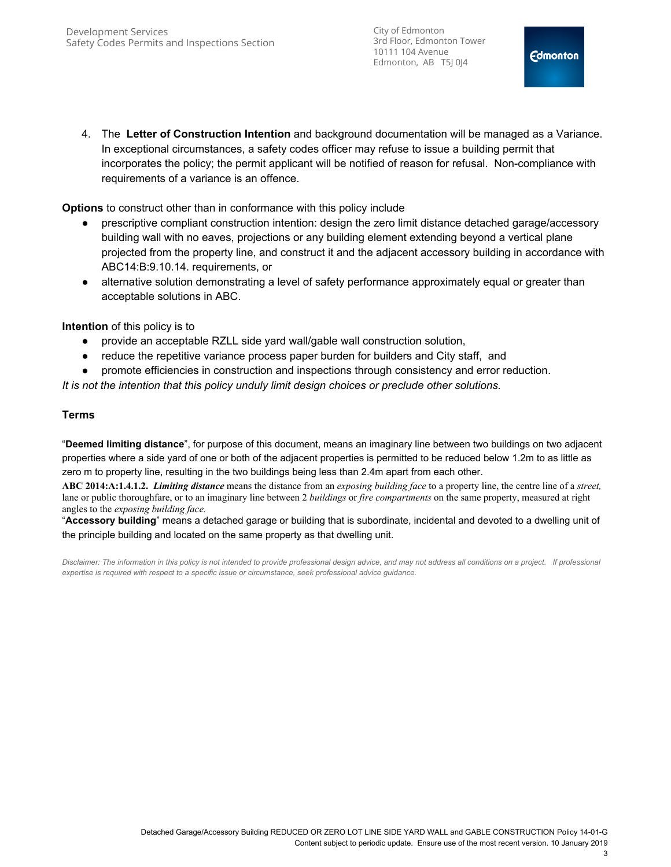City of Edmonton 3rd Floor, Edmonton Tower 10111 104 Avenue Edmonton, AB T5J 0J4

4. The **Letter of Construction Intention** and background documentation will be managed as a Variance. In exceptional circumstances, a safety codes officer may refuse to issue a building permit that incorporates the policy; the permit applicant will be notified of reason for refusal. Non-compliance with requirements of a variance is an offence.

**Options** to construct other than in conformance with this policy include

- prescriptive compliant construction intention: design the zero limit distance detached garage/accessory building wall with no eaves, projections or any building element extending beyond a vertical plane projected from the property line, and construct it and the adjacent accessory building in accordance with ABC14:B:9.10.14. requirements, or
- alternative solution demonstrating a level of safety performance approximately equal or greater than acceptable solutions in ABC.

**Intention** of this policy is to

- provide an acceptable RZLL side yard wall/gable wall construction solution,
- reduce the repetitive variance process paper burden for builders and City staff, and
- promote efficiencies in construction and inspections through consistency and error reduction.

*It is not the intention that this policy unduly limit design choices or preclude other solutions.*

## **Terms**

"**Deemed limiting distance**", for purpose of this document, means an imaginary line between two buildings on two adjacent properties where a side yard of one or both of the adjacent properties is permitted to be reduced below 1.2m to as little as zero m to property line, resulting in the two buildings being less than 2.4m apart from each other.

**ABC 2014:A:1.4.1.2.** *Limiting distance* means the distance from an *exposing building face* to a property line, the centre line of a *street,* lane or public thoroughfare, or to an imaginary line between 2 *buildings* or *fire compartments* on the same property, measured at right angles to the *exposing building face.*

"**Accessory building**" means a detached garage or building that is subordinate, incidental and devoted to a dwelling unit of the principle building and located on the same property as that dwelling unit.

*Disclaimer: The information in this policy is not intended to provide professional design advice, and may not address all conditions on a project. If professional expertise is required with respect to a specific issue or circumstance, seek professional advice guidance.*